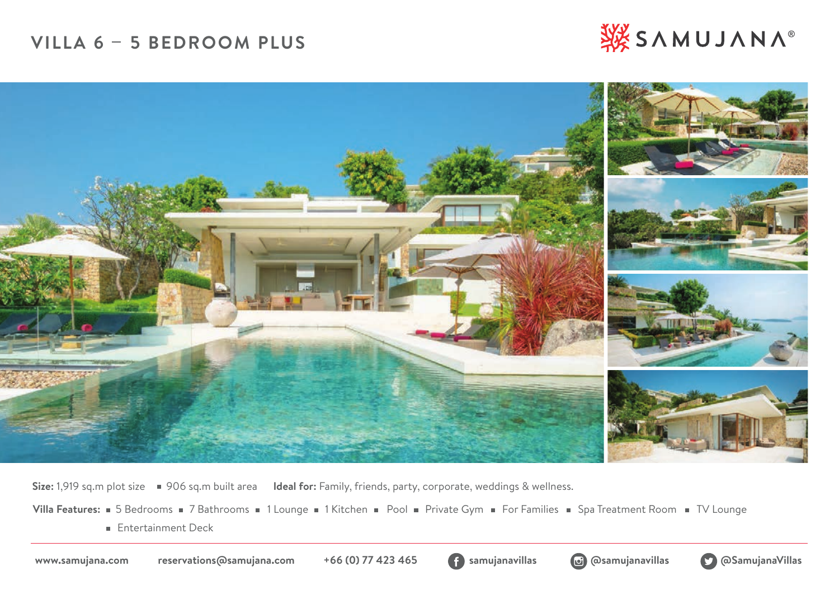# **VILLA 6 5 BEDROOM PLUS**





**Size:** 1,919 sq.m plot size 906 sq.m built area **Ideal for:** Family, friends, party, corporate, weddings & wellness.

Villa Features: **5 Bedrooms 3 7 Bathrooms 3 1 Lounge 3 1 Kitchen B** Pool B Private Gym B For Families B Spa Treatment Room B TV Lounge

**Entertainment Deck** 





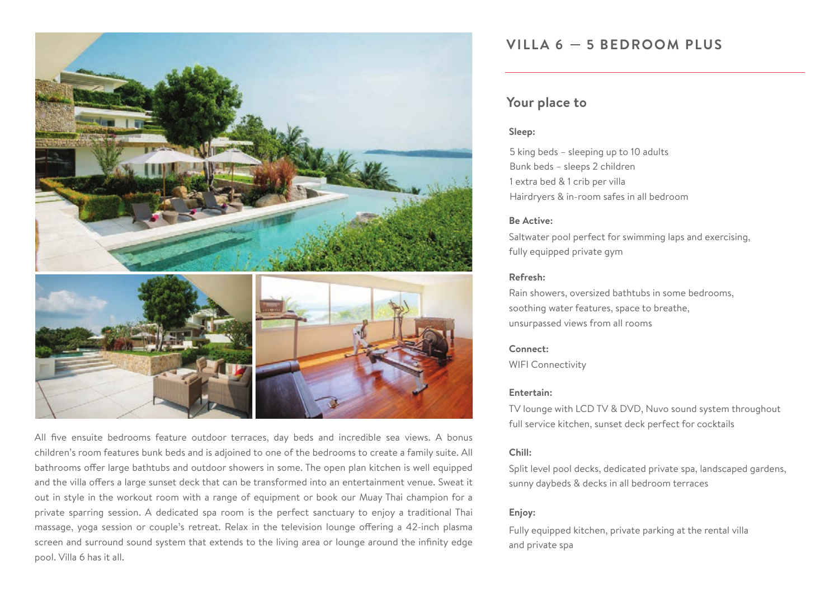

All five ensuite bedrooms feature outdoor terraces, day beds and incredible sea views. A bonus children's room features bunk beds and is adjoined to one of the bedrooms to create a family suite. All bathrooms offer large bathtubs and outdoor showers in some. The open plan kitchen is well equipped and the villa offers a large sunset deck that can be transformed into an entertainment venue. Sweat it out in style in the workout room with a range of equipment or book our Muay Thai champion for a private sparring session. A dedicated spa room is the perfect sanctuary to enjoy a traditional Thai massage, yoga session or couple's retreat. Relax in the television lounge offering a 42-inch plasma screen and surround sound system that extends to the living area or lounge around the infinity edge pool. Villa 6 has it all.

## **VILLA 6 5 BEDROOM PLUS**

## **Your place to**

### **Sleep:**

5 king beds – sleeping up to 10 adults Bunk beds – sleeps 2 children 1 extra bed & 1 crib per villa Hairdryers & in-room safes in all bedroom

### **Be Active:**

Saltwater pool perfect for swimming laps and exercising, fully equipped private gym

## **Refresh:**

Rain showers, oversized bathtubs in some bedrooms, soothing water features, space to breathe, unsurpassed views from all rooms

## **Connect:**

WIFI Connectivity

## **Entertain:**

TV lounge with LCD TV & DVD, Nuvo sound system throughout full service kitchen, sunset deck perfect for cocktails

## **Chill:**

Split level pool decks, dedicated private spa, landscaped gardens, sunny daybeds & decks in all bedroom terraces

## **Enjoy:**

Fully equipped kitchen, private parking at the rental villa and private spa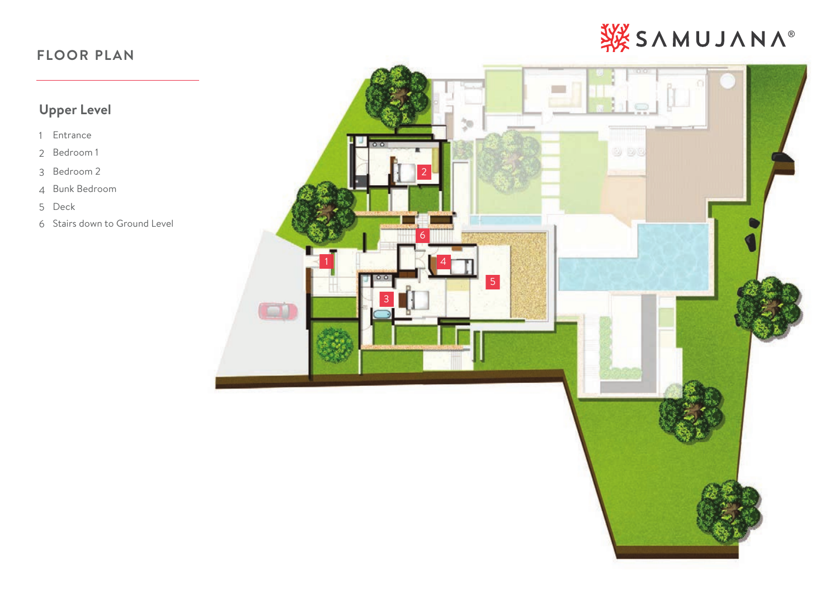# SYMUJANA®

# **FLOOR PLAN**

# **Upper Level**

- Entrance
- Bedroom 1
- Bedroom 2
- Bunk Bedroom
- Deck
- Stairs down to Ground Level

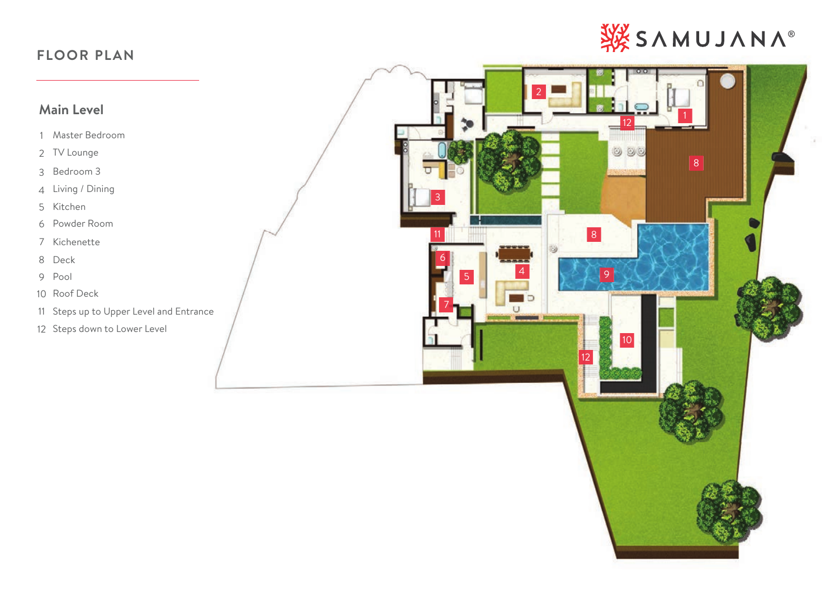# SY SAMUJANA®

# **FLOOR PLAN**

# **Main Level**

- Master Bedroom
- TV Lounge
- Bedroom 3
- Living / Dining
- Kitchen
- Powder Room
- Kichenette
- Deck
- Pool
- Roof Deck
- Steps up to Upper Level and Entrance
- Steps down to Lower Level

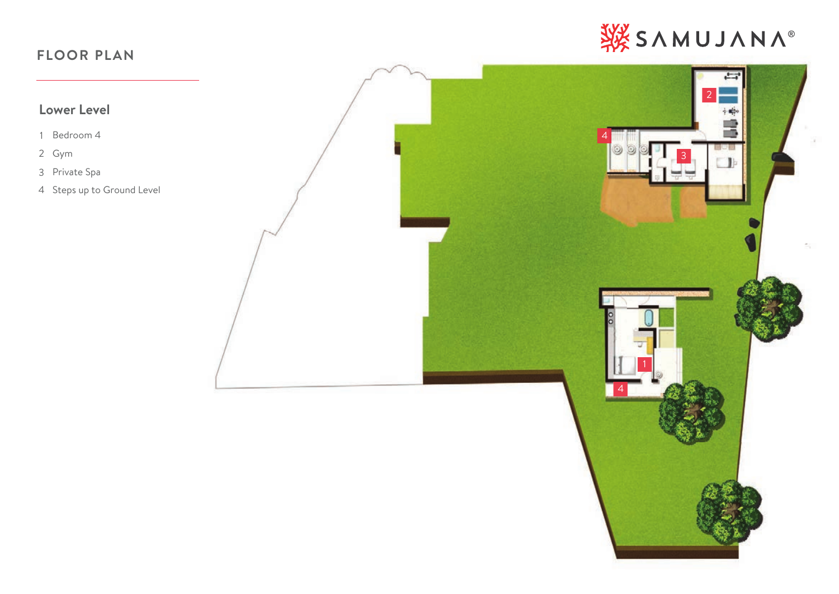# SYMUJANA®

# **FLOOR PLAN**

# **Lower Level**

- Bedroom 4
- Gym
- Private Spa
- Steps up to Ground Level